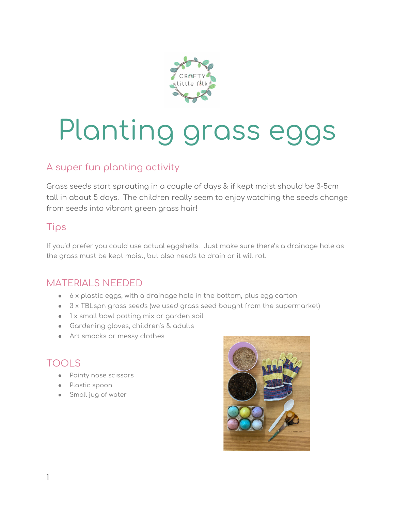

# Planting grass eggs

## A super fun planting activity

Grass seeds start sprouting in a couple of days & if kept moist should be 3-5cm tall in about 5 days. The children really seem to enjoy watching the seeds change from seeds into vibrant green grass hair!

## Tips

If you'd prefer you could use actual eggshells. Just make sure there's a drainage hole as the grass must be kept moist, but also needs to drain or it will rot.

#### MATERIALS NEEDED

- 6 x plastic eggs, with a drainage hole in the bottom, plus egg carton
- $\bullet$  3 x TBLspn grass seeds (we used grass seed bought from the supermarket)
- 1 x small bowl potting mix or garden soil
- Gardening gloves, children's & adults
- Art smocks or messy clothes

## TOOLS

- Pointy nose scissors
- Plastic spoon
- Small jug of water